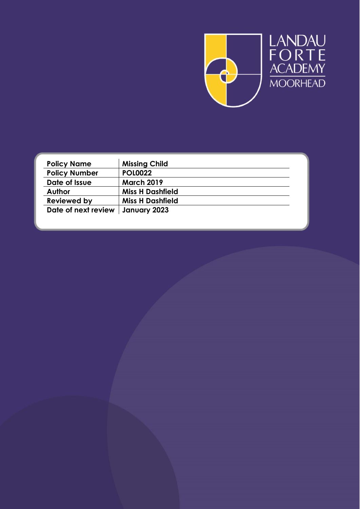

| <b>Policy Name</b>                 | <b>Missing Child</b>    |  |
|------------------------------------|-------------------------|--|
| <b>Policy Number</b>               | <b>POL0022</b>          |  |
| Date of Issue                      | <b>March 2019</b>       |  |
| <b>Author</b>                      | <b>Miss H Dashfield</b> |  |
| <b>Reviewed by</b>                 | <b>Miss H Dashfield</b> |  |
| Date of next review   January 2023 |                         |  |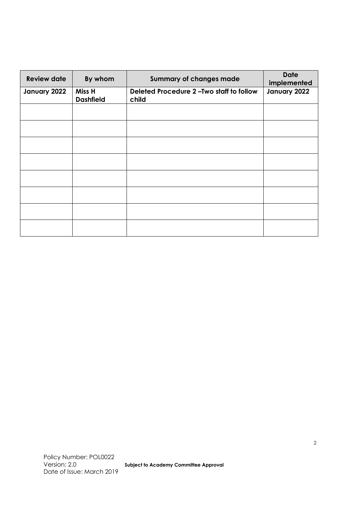| <b>Review date</b> | By whom                    | <b>Summary of changes made</b>                   | <b>Date</b><br>implemented |
|--------------------|----------------------------|--------------------------------------------------|----------------------------|
| January 2022       | Miss H<br><b>Dashfield</b> | Deleted Procedure 2-Two staff to follow<br>child | January 2022               |
|                    |                            |                                                  |                            |
|                    |                            |                                                  |                            |
|                    |                            |                                                  |                            |
|                    |                            |                                                  |                            |
|                    |                            |                                                  |                            |
|                    |                            |                                                  |                            |
|                    |                            |                                                  |                            |
|                    |                            |                                                  |                            |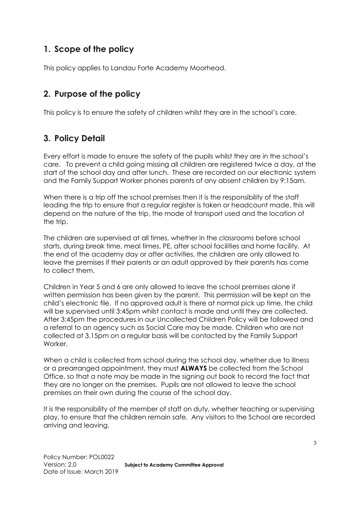## **1. Scope of the policy**

This policy applies to Landau Forte Academy Moorhead.

## **2. Purpose of the policy**

This policy is to ensure the safety of children whilst they are in the school's care.

## **3. Policy Detail**

Every effort is made to ensure the safety of the pupils whilst they are in the school's care. To prevent a child going missing all children are registered twice a day, at the start of the school day and after lunch. These are recorded on our electronic system and the Family Support Worker phones parents of any absent children by 9:15am.

When there is a trip off the school premises then it is the responsibility of the staff leading the trip to ensure that a regular register is taken or headcount made, this will depend on the nature of the trip, the mode of transport used and the location of the trip.

The children are supervised at all times, whether in the classrooms before school starts, during break time, meal times, PE, after school facilities and home facility. At the end of the academy day or after activities, the children are only allowed to leave the premises if their parents or an adult approved by their parents has come to collect them.

Children in Year 5 and 6 are only allowed to leave the school premises alone if written permission has been given by the parent. This permission will be kept on the child's electronic file. If no approved adult is there at normal pick up time, the child will be supervised until 3:45pm whilst contact is made and until they are collected. After 3:45pm the procedures in our Uncollected Children Policy will be followed and a referral to an agency such as Social Care may be made. Children who are not collected at 3.15pm on a regular basis will be contacted by the Family Support Worker.

When a child is collected from school during the school day, whether due to illness or a prearranged appointment, they must **ALWAYS** be collected from the School Office, so that a note may be made in the signing out book to record the fact that they are no longer on the premises. Pupils are not allowed to leave the school premises on their own during the course of the school day.

It is the responsibility of the member of staff on duty, whether teaching or supervising play, to ensure that the children remain safe. Any visitors to the School are recorded arriving and leaving.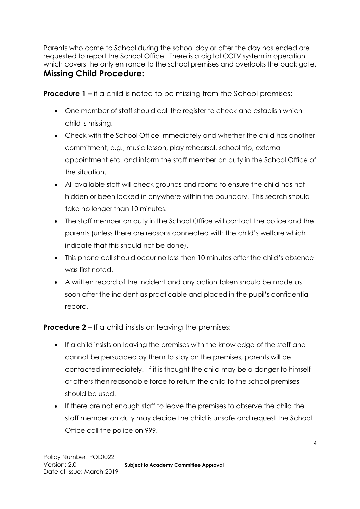Parents who come to School during the school day or after the day has ended are requested to report the School Office. There is a digital CCTV system in operation which covers the only entrance to the school premises and overlooks the back gate. **Missing Child Procedure:**

**Procedure 1 –** if a child is noted to be missing from the School premises:

- One member of staff should call the register to check and establish which child is missing.
- Check with the School Office immediately and whether the child has another commitment, e.g., music lesson, play rehearsal, school trip, external appointment etc. and inform the staff member on duty in the School Office of the situation.
- All available staff will check grounds and rooms to ensure the child has not hidden or been locked in anywhere within the boundary. This search should take no longer than 10 minutes.
- The staff member on duty in the School Office will contact the police and the parents (unless there are reasons connected with the child's welfare which indicate that this should not be done).
- This phone call should occur no less than 10 minutes after the child's absence was first noted.
- A written record of the incident and any action taken should be made as soon after the incident as practicable and placed in the pupil's confidential record.

**Procedure 2** – If a child insists on leaving the premises:

- If a child insists on leaving the premises with the knowledge of the staff and cannot be persuaded by them to stay on the premises, parents will be contacted immediately. If it is thought the child may be a danger to himself or others then reasonable force to return the child to the school premises should be used.
- If there are not enough staff to leave the premises to observe the child the staff member on duty may decide the child is unsafe and request the School Office call the police on 999.